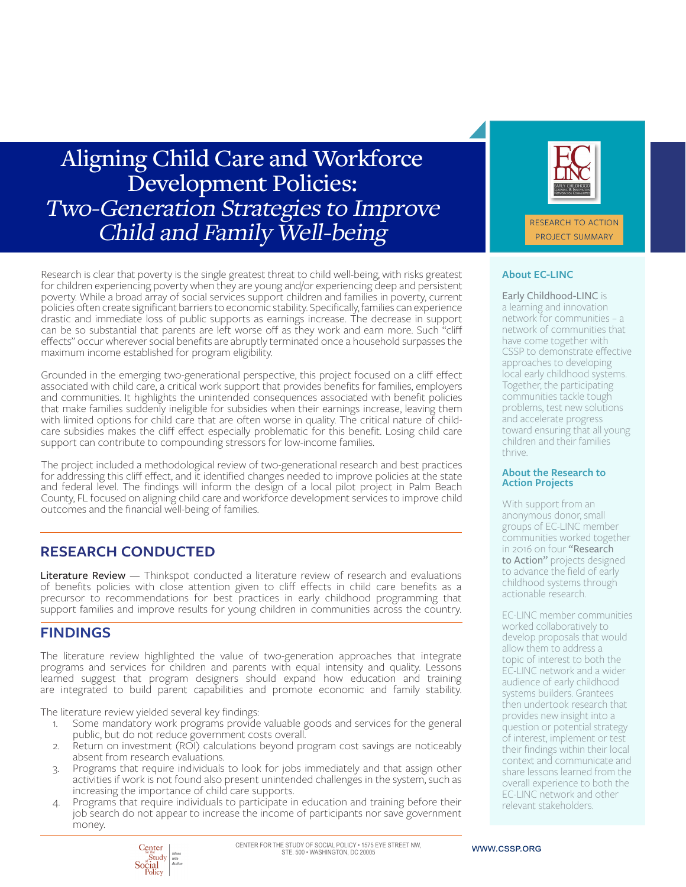# Aligning Child Care and Workforce Development Policies: Two-Generation Strategies to Improve Child and Family Well-being

Research is clear that poverty is the single greatest threat to child well-being, with risks greatest for children experiencing poverty when they are young and/or experiencing deep and persistent poverty. While a broad array of social services support children and families in poverty, current policies often create significant barriers to economic stability. Specifically, families can experience drastic and immediate loss of public supports as earnings increase. The decrease in support can be so substantial that parents are left worse off as they work and earn more. Such "cliff effects" occur wherever social benefits are abruptly terminated once a household surpasses the maximum income established for program eligibility.

Grounded in the emerging two-generational perspective, this project focused on a cliff effect associated with child care, a critical work support that provides benefits for families, employers and communities. It highlights the unintended consequences associated with benefit policies that make families suddenly ineligible for subsidies when their earnings increase, leaving them with limited options for child care that are often worse in quality. The critical nature of childcare subsidies makes the cliff effect especially problematic for this benefit. Losing child care support can contribute to compounding stressors for low-income families.

The project included a methodological review of two-generational research and best practices for addressing this cliff effect, and it identified changes needed to improve policies at the state and federal level. The findings will inform the design of a local pilot project in Palm Beach County, FL focused on aligning child care and workforce development services to improve child outcomes and the financial well-being of families.

# **RESEARCH CONDUCTED**

**Literature Review** — Thinkspot conducted a literature review of research and evaluations of benefits policies with close attention given to cliff effects in child care benefits as a precursor to recommendations for best practices in early childhood programming that support families and improve results for young children in communities across the country.

# **FINDINGS**

The literature review highlighted the value of two-generation approaches that integrate programs and services for children and parents with equal intensity and quality. Lessons learned suggest that program designers should expand how education and training are integrated to build parent capabilities and promote economic and family stability.

The literature review yielded several key findings:

- 1. Some mandatory work programs provide valuable goods and services for the general public, but do not reduce government costs overall.
- 2. Return on investment (ROI) calculations beyond program cost savings are noticeably absent from research evaluations.
- 3. Programs that require individuals to look for jobs immediately and that assign other activities if work is not found also present unintended challenges in the system, such as increasing the importance of child care supports.
- 4. Programs that require individuals to participate in education and training before their job search do not appear to increase the income of participants nor save government money.



#### **About EC-LINC**

Early Childhood-LINC is a learning and innovation network for communities – a network of communities that have come together with CSSP to demonstrate effective approaches to developing local early childhood systems. Together, the participating communities tackle tough problems, test new solutions and accelerate progress toward ensuring that all young children and their families thrive.

#### **About the Research to Action Projects**

With support from an anonymous donor, small groups of EC-LINC member communities worked together in 2016 on four "Research to Action" projects designed to advance the field of early childhood systems through actionable research.

EC-LINC member communities worked collaboratively to develop proposals that would allow them to address a topic of interest to both the EC-LINC network and a wider audience of early childhood systems builders. Grantees then undertook research that provides new insight into a question or potential strategy of interest, implement or test their findings within their local context and communicate and share lessons learned from the overall experience to both the EC-LINC network and other relevant stakeholders.